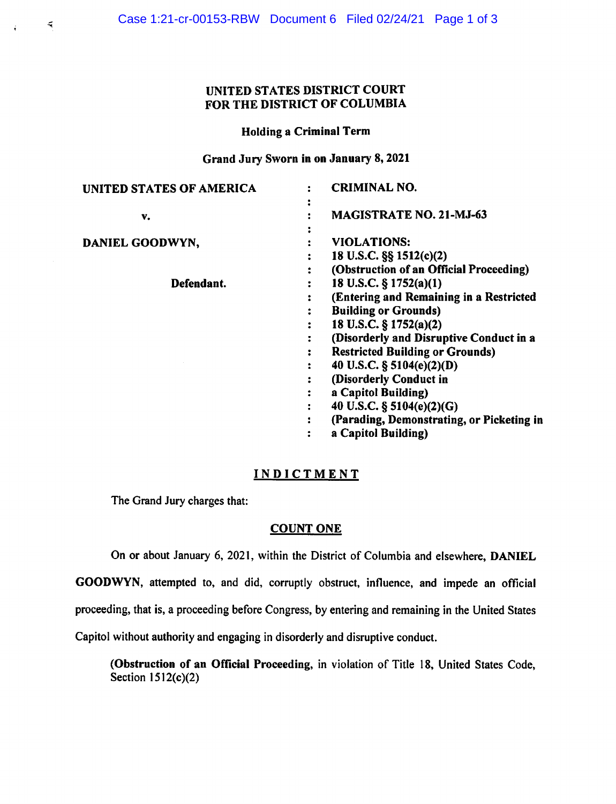# UNITED STATES DISTRICT COURT FOR THE DISTRICT OF COLUMBIA

## Holding a Criminal Term

Grand Jury Sworn in on January 8, 2021

| UNITED STATES OF AMERICA | <b>CRIMINAL NO.</b>                          |
|--------------------------|----------------------------------------------|
| v.                       | ٠<br><b>MAGISTRATE NO. 21-MJ-63</b>          |
|                          |                                              |
| DANIEL GOODWYN,          | <b>VIOLATIONS:</b>                           |
|                          | 18 U.S.C. §§ 1512(c)(2)                      |
|                          | (Obstruction of an Official Proceeding)      |
| Defendant.               | 18 U.S.C. § 1752(a)(1)                       |
|                          | (Entering and Remaining in a Restricted<br>፡ |
|                          | <b>Building or Grounds)</b><br>٠             |
|                          | 18 U.S.C. § 1752(a)(2)                       |
|                          | (Disorderly and Disruptive Conduct in a      |
|                          | <b>Restricted Building or Grounds)</b><br>:  |
|                          | 40 U.S.C. § 5104(e)(2)(D)                    |
|                          | (Disorderly Conduct in                       |
|                          | a Capitol Building)<br>٠                     |
|                          | 40 U.S.C. § 5104(e)(2)(G)<br>٠               |
|                          | (Parading, Demonstrating, or Picketing in    |
|                          | a Capitol Building)                          |

# **INDICTMENT**

The Grand Jury charges that:

## **COUNT ONE**

On or about January 6, 2021, within the District of Columbia and elsewhere, **DANIEL** 

**GOODWYN,** attempted to, and did, corruptly obstruct, influence, and impede an official

proceeding, that is, a proceeding before Congress, by entering and remaining in the United States

Capitol without authority and engaging in disorderly and disruptive conduct.

**(Obstruction of an Official Proceeding,** in violation of Title 18, United States Code, Section 1512(c)(2)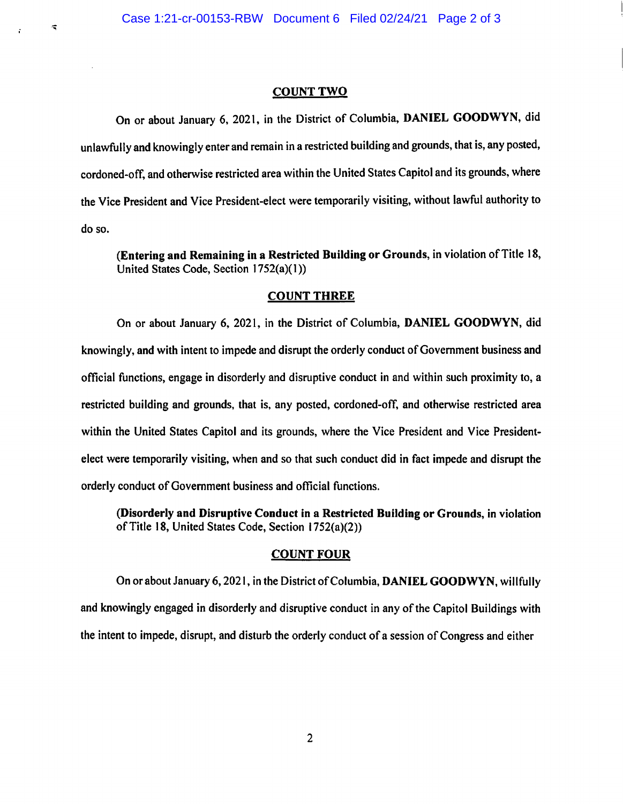$\preccurlyeq$ 

#### **COUNTTWO**

On or about January 6, 2021, in the District of Columbia, **DANIEL GOODWYN,** did unlawfully and knowingly enter and remain in a restricted building and grounds, that is, any posted, cordoned-off, and otherwise restricted area within the United States Capitol and its grounds, where the Vice President and Vice President-elect were temporarily visiting, without lawful authority to do so.

**(Entering and Remaining** in **a Restricted Building or Grounds,** in violation of Title 18, United States Code, Section 1752(a)( 1 ))

#### **COUNT THREE**

On or about January 6, 2021, in the District of Columbia, **DANIEL GOODWYN,** did knowingly, and with intent to impede and disrupt the orderly conduct of Government business and official functions, engage in disorderly and disruptive conduct in and within such proximity to, a restricted building and grounds, that is, any posted, cordoned-off, and otherwise restricted area within the United States Capitol and its grounds, where the Vice President and Vice Presidentelect were temporarily visiting, when and so that such conduct did in fact impede and disrupt the orderly conduct of Government business and official functions.

**(Disorderly and Disruptive Conduct in a Restricted Building or Grounds,** in violation of Title 18, United States Code, Section I 752(a)(2))

#### **COUNT FOUR**

On or about January 6, 2021, in the District of Columbia, **DANIEL GOODWYN,** willfully and knowingly engaged in disorderly and disruptive conduct in any of the Capitol Buildings with the intent to impede, disrupt, and disturb the orderly conduct of a session of Congress and either